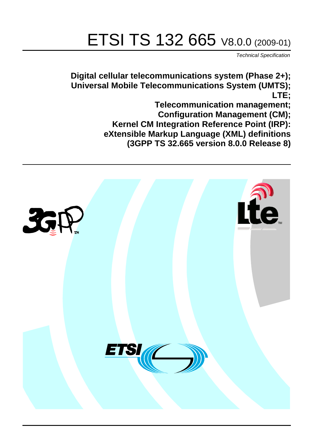# ETSI TS 132 665 V8.0.0 (2009-01)

*Technical Specification*

**Digital cellular telecommunications system (Phase 2+); Universal Mobile Telecommunications System (UMTS); LTE;**

> **Telecommunication management; Configuration Management (CM); Kernel CM Integration Reference Point (IRP): eXtensible Markup Language (XML) definitions (3GPP TS 32.665 version 8.0.0 Release 8)**

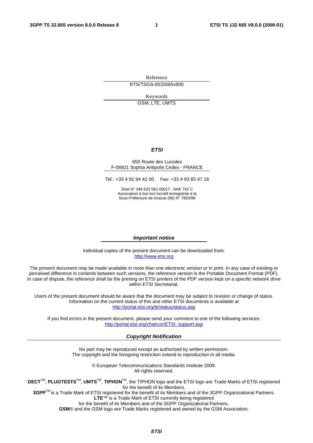Reference RTS/TSGS-0532665v800

Keywords

GSM, LTE, UMTS

#### *ETSI*

#### 650 Route des Lucioles F-06921 Sophia Antipolis Cedex - FRANCE

Tel.: +33 4 92 94 42 00 Fax: +33 4 93 65 47 16

Siret N° 348 623 562 00017 - NAF 742 C Association à but non lucratif enregistrée à la Sous-Préfecture de Grasse (06) N° 7803/88

#### *Important notice*

Individual copies of the present document can be downloaded from: [http://www.etsi.org](http://www.etsi.org/)

The present document may be made available in more than one electronic version or in print. In any case of existing or perceived difference in contents between such versions, the reference version is the Portable Document Format (PDF). In case of dispute, the reference shall be the printing on ETSI printers of the PDF version kept on a specific network drive within ETSI Secretariat.

Users of the present document should be aware that the document may be subject to revision or change of status. Information on the current status of this and other ETSI documents is available at <http://portal.etsi.org/tb/status/status.asp>

If you find errors in the present document, please send your comment to one of the following services: [http://portal.etsi.org/chaircor/ETSI\\_support.asp](http://portal.etsi.org/chaircor/ETSI_support.asp)

#### *Copyright Notification*

No part may be reproduced except as authorized by written permission. The copyright and the foregoing restriction extend to reproduction in all media.

> © European Telecommunications Standards Institute 2009. All rights reserved.

**DECT**TM, **PLUGTESTS**TM, **UMTS**TM, **TIPHON**TM, the TIPHON logo and the ETSI logo are Trade Marks of ETSI registered for the benefit of its Members.

**3GPP**TM is a Trade Mark of ETSI registered for the benefit of its Members and of the 3GPP Organizational Partners. **LTE**™ is a Trade Mark of ETSI currently being registered

for the benefit of its Members and of the 3GPP Organizational Partners.

**GSM**® and the GSM logo are Trade Marks registered and owned by the GSM Association.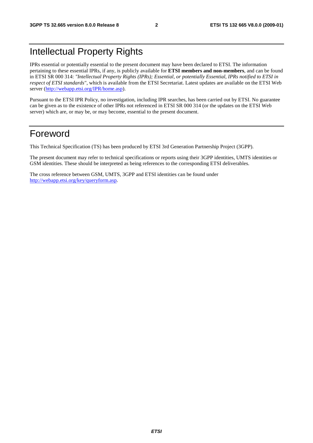## Intellectual Property Rights

IPRs essential or potentially essential to the present document may have been declared to ETSI. The information pertaining to these essential IPRs, if any, is publicly available for **ETSI members and non-members**, and can be found in ETSI SR 000 314: *"Intellectual Property Rights (IPRs); Essential, or potentially Essential, IPRs notified to ETSI in respect of ETSI standards"*, which is available from the ETSI Secretariat. Latest updates are available on the ETSI Web server [\(http://webapp.etsi.org/IPR/home.asp\)](http://webapp.etsi.org/IPR/home.asp).

Pursuant to the ETSI IPR Policy, no investigation, including IPR searches, has been carried out by ETSI. No guarantee can be given as to the existence of other IPRs not referenced in ETSI SR 000 314 (or the updates on the ETSI Web server) which are, or may be, or may become, essential to the present document.

#### Foreword

This Technical Specification (TS) has been produced by ETSI 3rd Generation Partnership Project (3GPP).

The present document may refer to technical specifications or reports using their 3GPP identities, UMTS identities or GSM identities. These should be interpreted as being references to the corresponding ETSI deliverables.

The cross reference between GSM, UMTS, 3GPP and ETSI identities can be found under [http://webapp.etsi.org/key/queryform.asp.](http://webapp.etsi.org/key/queryform.asp)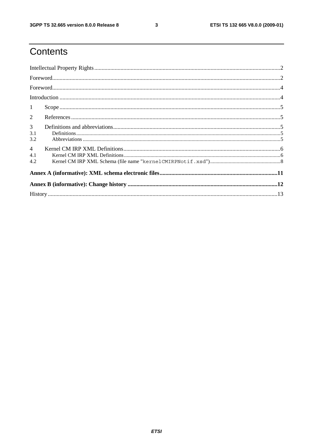$\mathbf{3}$ 

# Contents

| $\mathbf{1}$                 |  |  |  |  |  |  |
|------------------------------|--|--|--|--|--|--|
| 2                            |  |  |  |  |  |  |
| 3 <sup>1</sup><br>3.1<br>3.2 |  |  |  |  |  |  |
| $\overline{4}$<br>4.1<br>4.2 |  |  |  |  |  |  |
|                              |  |  |  |  |  |  |
|                              |  |  |  |  |  |  |
|                              |  |  |  |  |  |  |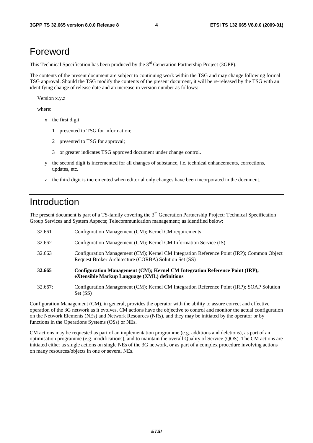#### Foreword

This Technical Specification has been produced by the 3<sup>rd</sup> Generation Partnership Project (3GPP).

The contents of the present document are subject to continuing work within the TSG and may change following formal TSG approval. Should the TSG modify the contents of the present document, it will be re-released by the TSG with an identifying change of release date and an increase in version number as follows:

Version x.y.z

where:

- x the first digit:
	- 1 presented to TSG for information;
	- 2 presented to TSG for approval;
	- 3 or greater indicates TSG approved document under change control.
- y the second digit is incremented for all changes of substance, i.e. technical enhancements, corrections, updates, etc.
- z the third digit is incremented when editorial only changes have been incorporated in the document.

### Introduction

The present document is part of a TS-family covering the 3<sup>rd</sup> Generation Partnership Project: Technical Specification Group Services and System Aspects; Telecommunication management; as identified below:

| 32.663  | Configuration Management (CM); Kernel CM Integration Reference Point (IRP); Common Object<br>Request Broker Architecture (CORBA) Solution Set (SS) |
|---------|----------------------------------------------------------------------------------------------------------------------------------------------------|
| 32.665  | Configuration Management (CM); Kernel CM Integration Reference Point (IRP);<br>eXtensible Markup Language (XML) definitions                        |
| 32.667: | Configuration Management (CM): Kernel CM Integration Reference Point (IRP): SOAP Solution                                                          |

32.667: Configuration Management (CM); Kernel CM Integration Reference Point (IRP); SOAP Solution Set (SS)

Configuration Management (CM), in general, provides the operator with the ability to assure correct and effective operation of the 3G network as it evolves. CM actions have the objective to control and monitor the actual configuration on the Network Elements (NEs) and Network Resources (NRs), and they may be initiated by the operator or by functions in the Operations Systems (OSs) or NEs.

CM actions may be requested as part of an implementation programme (e.g. additions and deletions), as part of an optimisation programme (e.g. modifications), and to maintain the overall Quality of Service (QOS). The CM actions are initiated either as single actions on single NEs of the 3G network, or as part of a complex procedure involving actions on many resources/objects in one or several NEs.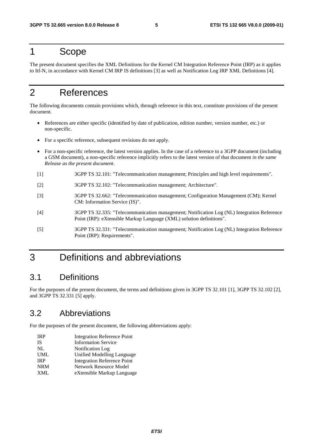#### 1 Scope

The present document specifies the XML Definitions for the Kernel CM Integration Reference Point (IRP) as it applies to Itf-N, in accordance with Kernel CM IRP IS definitions [3] as well as Notification Log IRP XML Definitions [4].

### 2 References

The following documents contain provisions which, through reference in this text, constitute provisions of the present document.

- References are either specific (identified by date of publication, edition number, version number, etc.) or non-specific.
- For a specific reference, subsequent revisions do not apply.
- For a non-specific reference, the latest version applies. In the case of a reference to a 3GPP document (including a GSM document), a non-specific reference implicitly refers to the latest version of that document *in the same Release as the present document*.
- [1] 3GPP TS 32.101: "Telecommunication management; Principles and high level requirements".
- [2] 3GPP TS 32.102: "Telecommunication management; Architecture".
- [3] 3GPP TS 32.662: "Telecommunication management; Configuration Management (CM); Kernel CM: Information Service (IS)".
- [4] 3GPP TS 32.335: "Telecommunication management; Notification Log (NL) Integration Reference Point (IRP): eXtensible Markup Language (XML) solution definitions".
- [5] 3GPP TS 32.331: "Telecommunication management; Notification Log (NL) Integration Reference Point (IRP): Requirements".

### 3 Definitions and abbreviations

#### 3.1 Definitions

For the purposes of the present document, the terms and definitions given in 3GPP TS 32.101 [1], 3GPP TS 32.102 [2], and 3GPP TS 32.331 [5] apply.

#### 3.2 Abbreviations

For the purposes of the present document, the following abbreviations apply:

- IRP Integration Reference Point IS Information Service NL Notification Log UML Unified Modelling Language **IRP** Integration Reference Point<br>
NRM Network Resource Model NRM Network Resource Model<br>
NAMI AMI ARE AREAS AREAS AT A PARTING A ST
- eXtensible Markup Language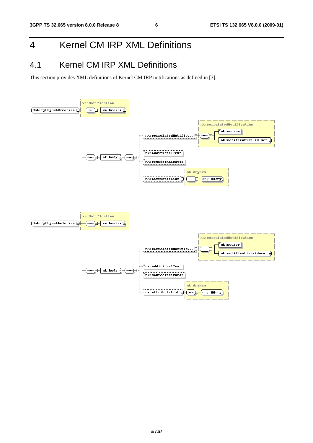# 4 Kernel CM IRP XML Definitions

### 4.1 Kernel CM IRP XML Definitions

This section provides XML definitions of Kernel CM IRP notifications as defined in [3].

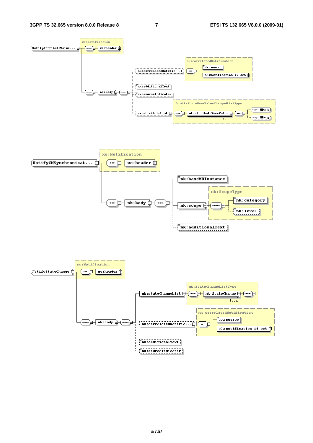



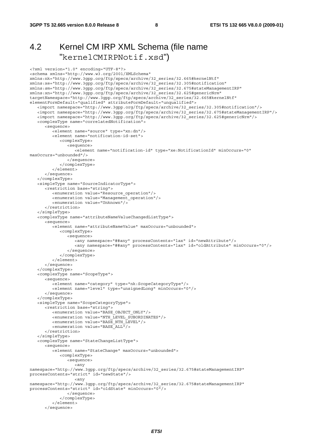#### 4.2 Kernel CM IRP XML Schema (file name "kernelCMIRPNotif.xsd")

```
<?xml version="1.0" encoding="UTF-8"?> 
<schema xmlns="http://www.w3.org/2001/XMLSchema" 
xmlns:nk="http://www.3gpp.org/ftp/specs/archive/32_series/32.665#kernelNtf" 
xmlns:xe="http://www.3gpp.org/ftp/specs/archive/32_series/32.305#notification" 
xmlns:sm="http://www.3gpp.org/ftp/specs/archive/32_series/32.675#stateManagementIRP" 
xmlns:xn="http://www.3gpp.org/ftp/specs/archive/32_series/32.625#genericNrm" 
targetNamespace="http://www.3gpp.org/ftp/specs/archive/32_series/32.665#kernelNtf" 
elementFormDefault="qualified" attributeFormDefault="unqualified">
    <import namespace="http://www.3gpp.org/ftp/specs/archive/32_series/32.305#notification"/> 
    <import namespace="http://www.3gpp.org/ftp/specs/archive/32_series/32.675#stateManagementIRP"/> 
    <import namespace="http://www.3gpp.org/ftp/specs/archive/32_series/32.625#genericNrm"/> 
    <complexType name="correlatedNotification"> 
       <sequence> 
          <element name="source" type="xn:dn"/> 
          <element name="notification-id-set"> 
             <complexType> 
                <sequence> 
                    <element name="notification-id" type="xe:NotificationId" minOccurs="0" 
maxOccurs="unbounded"/> 
                </sequence> 
             </complexType> 
          </element> 
       </sequence> 
    </complexType> 
    <simpleType name="SourceIndicatorType"> 
       <restriction base="string"> 
          <enumeration value="Resource_operation"/> 
          <enumeration value="Management_operation"/> 
          <enumeration value="Unknown"/> 
       </restriction> 
    </simpleType> 
    <complexType name="attributeNameValueChangedListType"> 
       <sequence> 
          <element name="attributeNameValue" maxOccurs="unbounded"> 
             <complexType> 
                <sequence> 
                   <any namespace="##any" processContents="lax" id="newAttribute"/> 
                    <any namespace="##any" processContents="lax" id="oldAttribute" minOccurs="0"/> 
                 </sequence> 
             </complexType> 
          </element> 
       </sequence> 
    </complexType> 
    <complexType name="ScopeType"> 
       <sequence> 
          <element name="category" type="nk:ScopeCategoryType"/> 
          <element name="level" type="unsignedLong" minOccurs="0"/> 
       </sequence> 
    </complexType> 
    <simpleType name="ScopeCategoryType"> 
       <restriction base="string"> 
          <enumeration value="BASE_OBJECT_ONLY"/> 
          <enumeration value="NTH_LEVEL_SUBORDINATES"/> 
          <enumeration value="BASE_NTH_LEVEL"/> 
          <enumeration value="BASE_ALL"/> 
       </restriction> 
    </simpleType> 
    <complexType name="StateChangeListType"> 
       <sequence> 
          <element name="StateChange" maxOccurs="unbounded"> 
             <complexType> 
                <sequence> 
                    <any 
namespace="http://www.3gpp.org/ftp/specs/archive/32_series/32.675#stateManagementIRP" 
processContents="strict" id="newState"/> 
                    <any 
namespace="http://www.3gpp.org/ftp/specs/archive/32_series/32.675#stateManagementIRP" 
processContents="strict" id="oldState" minOccurs="0"/> 
                </sequence> 
             </complexType> 
          </element> 
       </sequence>
```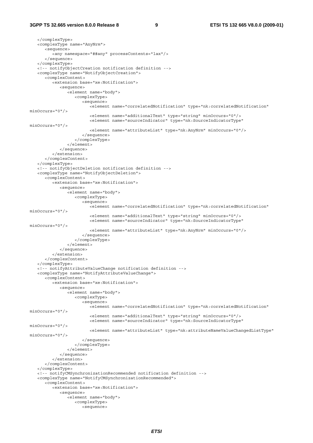#### **3GPP TS 32.665 version 8.0.0 Release 8 9 ETSI TS 132 665 V8.0.0 (2009-01)**

 </complexType> <complexType name="AnyNrm"> <sequence> <any namespace="##any" processContents="lax"/> </sequence> </complexType> <!-- notifyObjectCreation notification definition --> <complexType name="NotifyObjectCreation"> <complexContent> <extension base="xe:Notification"> <sequence> <element name="body"> <complexType> <sequence> <element name="correlatedNotification" type="nk:correlatedNotification" minOccurs="0"/> <element name="additionalText" type="string" minOccurs="0"/> <element name="sourceIndicator" type="nk:SourceIndicatorType" minOccurs="0"/> <element name="attributeList" type="nk:AnyNrm" minOccurs="0"/> </sequence> </complexType> </element> </sequence> </extension> </complexContent> </complexType> <!-- notifyObjectDeletion notification definition --> <complexType name="NotifyObjectDeletion"> <complexContent> <extension base="xe:Notification"> <sequence> <element name="body"> <complexType> <sequence> <element name="correlatedNotification" type="nk:correlatedNotification" minOccurs="0"/> <element name="additionalText" type="string" minOccurs="0"/> <element name="sourceIndicator" type="nk:SourceIndicatorType" minOccurs="0"/> <element name="attributeList" type="nk:AnyNrm" minOccurs="0"/> </sequence> </complexType> </element> </sequence> </extension> </complexContent> </complexType> <!-- notifyAttributeValueChange notification definition --> <complexType name="NotifyAttributeValueChange"> <complexContent> <extension base="xe:Notification"> <sequence> <element name="body"> <complexType> <sequence> <element name="correlatedNotification" type="nk:correlatedNotification" minOccurs="0"/> <element name="additionalText" type="string" minOccurs="0"/> <element name="sourceIndicator" type="nk:SourceIndicatorType" minOccurs="0"/> <element name="attributeList" type="nk:attributeNameValueChangedListType" minOccurs="0"/> </sequence> </complexType> </element> </sequence> </extension> </complexContent> </complexType> <!-- notifyCMSynchronizationRecommended notification definition --> <complexType name="NotifyCMSynchronizationRecommended"> <complexContent> <extension base="xe:Notification"> <sequence> <element name="body"> <complexType> <sequence>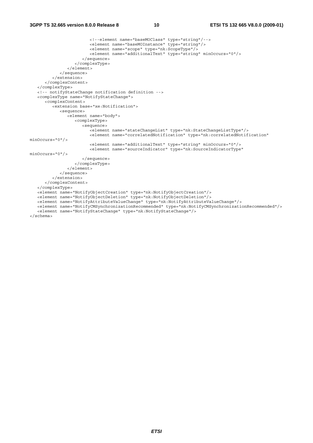#### **3GPP TS 32.665 version 8.0.0 Release 8 10 ETSI TS 132 665 V8.0.0 (2009-01)**

```
 <!--element name="baseMOClass" type="string"/--> 
                          <element name="baseMOInstance" type="string"/> 
                          <element name="scope" type="nk:ScopeType"/> 
                          <element name="additionalText" type="string" minOccurs="0"/> 
                       </sequence> 
                    </complexType> 
                </element> 
             </sequence> 
          </extension> 
       </complexContent> 
    </complexType> 
    <!-- notifyStateChange notification definition --> 
    <complexType name="NotifyStateChange"> 
       <complexContent> 
          <extension base="xe:Notification"> 
             <sequence> 
                <element name="body"> 
                    <complexType> 
                       <sequence> 
                          <element name="stateChangeList" type="nk:StateChangeListType"/> 
                          <element name="correlatedNotification" type="nk:correlatedNotification" 
minOccurs="0"/> 
                          <element name="additionalText" type="string" minOccurs="0"/> 
                          <element name="sourceIndicator" type="nk:SourceIndicatorType" 
minOccurs="0"/> 
                       </sequence> 
                    </complexType> 
                </element> 
             </sequence> 
         >/extension\sim </complexContent> 
    </complexType> 
    <element name="NotifyObjectCreation" type="nk:NotifyObjectCreation"/> 
    <element name="NotifyObjectDeletion" type="nk:NotifyObjectDeletion"/> 
    <element name="NotifyAttributeValueChange" type="nk:NotifyAttributeValueChange"/> 
    <element name="NotifyCMSynchronizationRecommended" type="nk:NotifyCMSynchronizationRecommended"/> 
    <element name="NotifyStateChange" type="nk:NotifyStateChange"/>
```
</schema>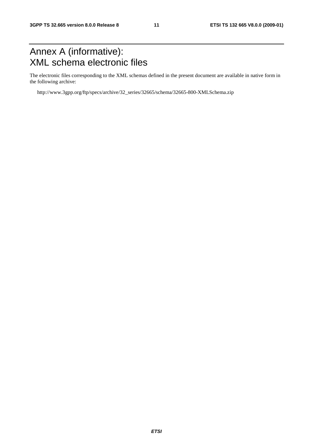# Annex A (informative): XML schema electronic files

The electronic files corresponding to the XML schemas defined in the present document are available in native form in the following archive:

http://www.3gpp.org/ftp/specs/archive/32\_series/32665/schema/32665-800-XMLSchema.zip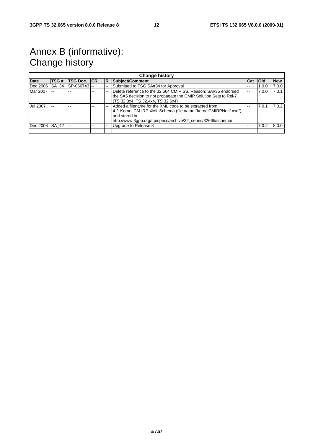# Annex B (informative): Change history

| <b>Change history</b> |       |                          |    |          |                                                                   |     |            |            |
|-----------------------|-------|--------------------------|----|----------|-------------------------------------------------------------------|-----|------------|------------|
| <b>Date</b>           | TSG # | <b>TSG Doc. ICR</b>      |    | <b>R</b> | Subject/Comment                                                   | Cat | <b>Old</b> | <b>New</b> |
| Dec 2006              | SA 34 | SP-060743                |    |          | Submitted to TSG SA#34 for Approval                               | --  | 1.0.0      | 7.0.0      |
| Mar 2007              |       |                          | -- |          | Delete reference to the 32.664 CMIP SS, Reason: SA#35 endorsed    | $-$ | 7.0.0      | 7.0.1      |
|                       |       |                          |    |          | the SA5 decision to not propagate the CMIP Solution Sets to Rel-7 |     |            |            |
|                       |       |                          |    |          | (TS 32.3x4, TS 32.4x4, TS 32.6x4)                                 |     |            |            |
| Jul 2007              | $-$   |                          | -- |          | Added a filename for the XML code to be extracted from            | --  | 7.0.1      | 7.0.2      |
|                       |       |                          |    |          | 4.2 Kernel CM IRP XML Schema (file name "kernelCMIRPNotif.xsd")   |     |            |            |
|                       |       |                          |    |          | and stored in                                                     |     |            |            |
|                       |       |                          |    |          | http://www.3gpp.org/ftp/specs/archive/32_series/32665/schema/     |     |            |            |
| IDec 2008 ISA 42      |       | $\overline{\phantom{a}}$ |    |          | Upgrade to Release 8                                              |     | 7.0.2      | 8.0.0      |
|                       |       |                          |    |          |                                                                   |     |            |            |